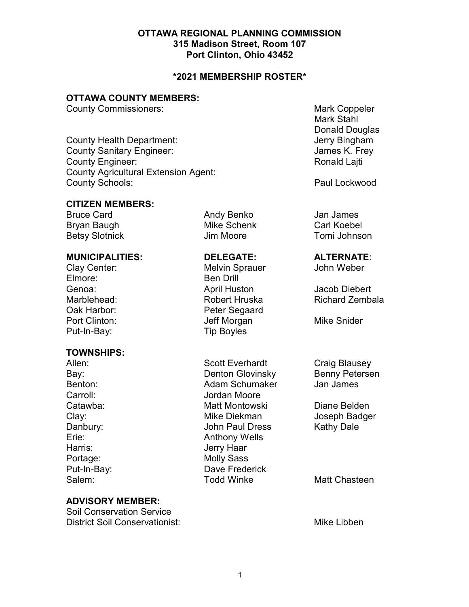# OTTAWA REGIONAL PLANNING COMMISSION 315 Madison Street, Room 107 Port Clinton, Ohio 43452

## \*2021 MEMBERSHIP ROSTER\*

# OTTAWA COUNTY MEMBERS:

**County Commissioners:** Mark Coppeler **Mark Coppeler** 

County Health Department: Georgia County Health Department: County Sanitary Engineer: Gounty Sanitary Engineer: James K. Frey County Engineer: **Ronald Lajti County Engineer:** And The Ronald Lajti County Agricultural Extension Agent: County Schools: **Paul Lockwood** 

## CITIZEN MEMBERS:

Bruce Card **Andy Benko** Jan James Bryan Baugh **Mike Schenk** Carl Koebel

TOWNSHIPS:

Clay Center: Melvin Sprauer John Weber Elmore: Ben Drill Genoa: April Huston Jacob Diebert Oak Harbor: Peter Segaard Port Clinton: Same Multiple Jeff Morgan Mike Snider Put-In-Bay: Tip Boyles

Allen: Scott Everhardt Craig Blausey Bay: Denton Glovinsky Benny Petersen Benton: Adam Schumaker Carroll: Jordan Moore Catawba: Matt Montowski Diane Belden Clay: Clay: Clay: Clay: Clay: Clay: Clay: Clay: Clay: Clay: Clay: Clay: Clay: Clay: Clay: Clay: Clay: Clay: Cla Danbury: John Paul Dress Kathy Dale Erie: Anthony Wells Harris: Jerry Haar Portage: Molly Sass Put-In-Bay: Dave Frederick Salem: Todd Winke Matt Chasteen

## ADVISORY MEMBER:

Soil Conservation Service District Soil Conservationist: Mike Libben

 Mark Stahl Donald Douglas

Betsy Slotnick **Communist Communist Communist Communist Communist Communist Communist Communist Communist Communist Communist Communist Communist Communist Communist Communist Communist Communist Communist Communist Commun** 

## MUNICIPALITIES: DELEGATE: ALTERNATE:

Marblehead: Robert Hruska Richard Zembala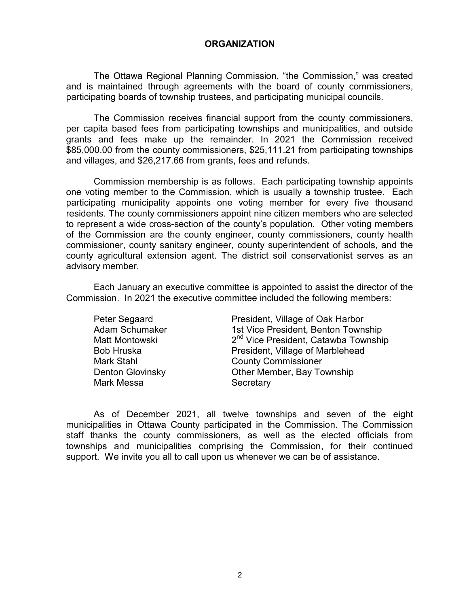## **ORGANIZATION**

 The Ottawa Regional Planning Commission, "the Commission," was created and is maintained through agreements with the board of county commissioners, participating boards of township trustees, and participating municipal councils.

 The Commission receives financial support from the county commissioners, per capita based fees from participating townships and municipalities, and outside grants and fees make up the remainder. In 2021 the Commission received \$85,000.00 from the county commissioners, \$25,111.21 from participating townships and villages, and \$26,217.66 from grants, fees and refunds.

 Commission membership is as follows. Each participating township appoints one voting member to the Commission, which is usually a township trustee. Each participating municipality appoints one voting member for every five thousand residents. The county commissioners appoint nine citizen members who are selected to represent a wide cross-section of the county's population. Other voting members of the Commission are the county engineer, county commissioners, county health commissioner, county sanitary engineer, county superintendent of schools, and the county agricultural extension agent. The district soil conservationist serves as an advisory member.

 Each January an executive committee is appointed to assist the director of the Commission. In 2021 the executive committee included the following members:

| President, Village of Oak Harbor                 |
|--------------------------------------------------|
| 1st Vice President, Benton Township              |
| 2 <sup>nd</sup> Vice President, Catawba Township |
| President, Village of Marblehead                 |
| <b>County Commissioner</b>                       |
| Other Member, Bay Township                       |
| Secretary                                        |
|                                                  |

 As of December 2021, all twelve townships and seven of the eight municipalities in Ottawa County participated in the Commission. The Commission staff thanks the county commissioners, as well as the elected officials from townships and municipalities comprising the Commission, for their continued support. We invite you all to call upon us whenever we can be of assistance.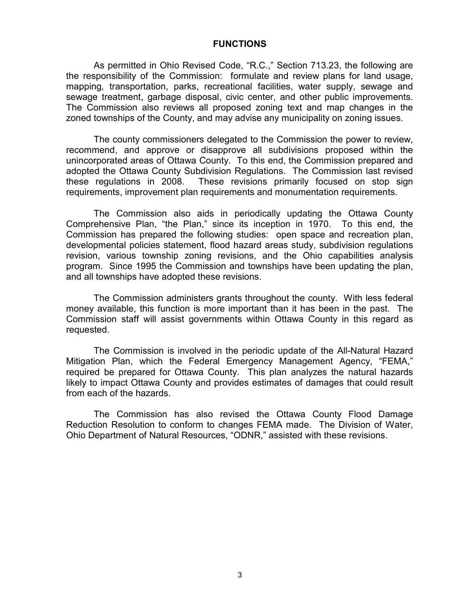### **FUNCTIONS**

 As permitted in Ohio Revised Code, "R.C.," Section 713.23, the following are the responsibility of the Commission: formulate and review plans for land usage, mapping, transportation, parks, recreational facilities, water supply, sewage and sewage treatment, garbage disposal, civic center, and other public improvements. The Commission also reviews all proposed zoning text and map changes in the zoned townships of the County, and may advise any municipality on zoning issues.

 The county commissioners delegated to the Commission the power to review, recommend, and approve or disapprove all subdivisions proposed within the unincorporated areas of Ottawa County. To this end, the Commission prepared and adopted the Ottawa County Subdivision Regulations. The Commission last revised these regulations in 2008. These revisions primarily focused on stop sign requirements, improvement plan requirements and monumentation requirements.

The Commission also aids in periodically updating the Ottawa County Comprehensive Plan, "the Plan," since its inception in 1970. To this end, the Commission has prepared the following studies: open space and recreation plan, developmental policies statement, flood hazard areas study, subdivision regulations revision, various township zoning revisions, and the Ohio capabilities analysis program. Since 1995 the Commission and townships have been updating the plan, and all townships have adopted these revisions.

 The Commission administers grants throughout the county. With less federal money available, this function is more important than it has been in the past. The Commission staff will assist governments within Ottawa County in this regard as requested.

 The Commission is involved in the periodic update of the All-Natural Hazard Mitigation Plan, which the Federal Emergency Management Agency, "FEMA," required be prepared for Ottawa County. This plan analyzes the natural hazards likely to impact Ottawa County and provides estimates of damages that could result from each of the hazards.

The Commission has also revised the Ottawa County Flood Damage Reduction Resolution to conform to changes FEMA made. The Division of Water, Ohio Department of Natural Resources, "ODNR," assisted with these revisions.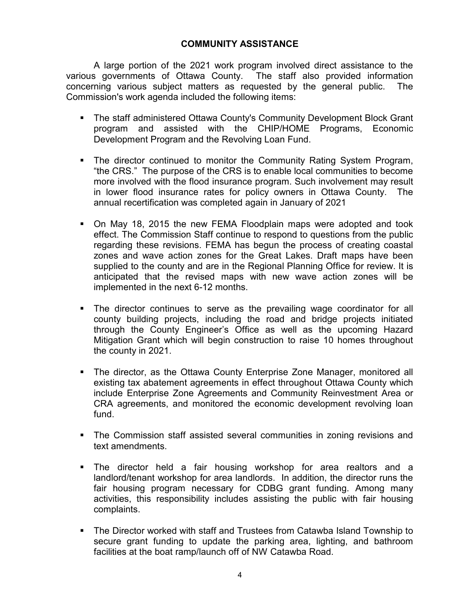# COMMUNITY ASSISTANCE

 A large portion of the 2021 work program involved direct assistance to the various governments of Ottawa County. The staff also provided information concerning various subject matters as requested by the general public. The Commission's work agenda included the following items:

- **The staff administered Ottawa County's Community Development Block Grant** program and assisted with the CHIP/HOME Programs, Economic Development Program and the Revolving Loan Fund.
- **The director continued to monitor the Community Rating System Program,** "the CRS." The purpose of the CRS is to enable local communities to become more involved with the flood insurance program. Such involvement may result in lower flood insurance rates for policy owners in Ottawa County. The annual recertification was completed again in January of 2021
- On May 18, 2015 the new FEMA Floodplain maps were adopted and took effect. The Commission Staff continue to respond to questions from the public regarding these revisions. FEMA has begun the process of creating coastal zones and wave action zones for the Great Lakes. Draft maps have been supplied to the county and are in the Regional Planning Office for review. It is anticipated that the revised maps with new wave action zones will be implemented in the next 6-12 months.
- The director continues to serve as the prevailing wage coordinator for all county building projects, including the road and bridge projects initiated through the County Engineer's Office as well as the upcoming Hazard Mitigation Grant which will begin construction to raise 10 homes throughout the county in 2021.
- The director, as the Ottawa County Enterprise Zone Manager, monitored all existing tax abatement agreements in effect throughout Ottawa County which include Enterprise Zone Agreements and Community Reinvestment Area or CRA agreements, and monitored the economic development revolving loan fund.
- **The Commission staff assisted several communities in zoning revisions and** text amendments.
- The director held a fair housing workshop for area realtors and a landlord/tenant workshop for area landlords. In addition, the director runs the fair housing program necessary for CDBG grant funding. Among many activities, this responsibility includes assisting the public with fair housing complaints.
- The Director worked with staff and Trustees from Catawba Island Township to secure grant funding to update the parking area, lighting, and bathroom facilities at the boat ramp/launch off of NW Catawba Road.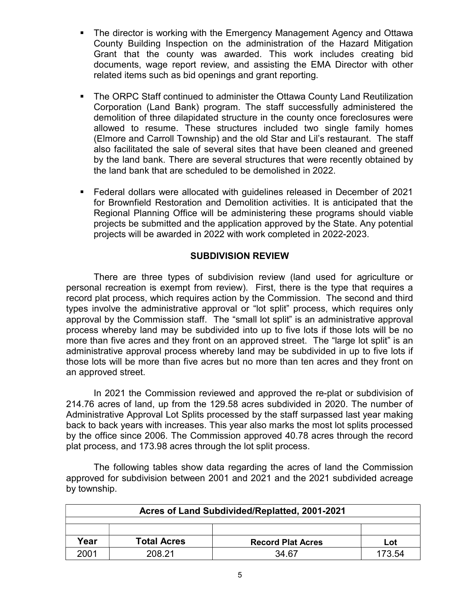- The director is working with the Emergency Management Agency and Ottawa County Building Inspection on the administration of the Hazard Mitigation Grant that the county was awarded. This work includes creating bid documents, wage report review, and assisting the EMA Director with other related items such as bid openings and grant reporting.
- The ORPC Staff continued to administer the Ottawa County Land Reutilization Corporation (Land Bank) program. The staff successfully administered the demolition of three dilapidated structure in the county once foreclosures were allowed to resume. These structures included two single family homes (Elmore and Carroll Township) and the old Star and Lil's restaurant. The staff also facilitated the sale of several sites that have been cleaned and greened by the land bank. There are several structures that were recently obtained by the land bank that are scheduled to be demolished in 2022.
- Federal dollars were allocated with guidelines released in December of 2021 for Brownfield Restoration and Demolition activities. It is anticipated that the Regional Planning Office will be administering these programs should viable projects be submitted and the application approved by the State. Any potential projects will be awarded in 2022 with work completed in 2022-2023.

## SUBDIVISION REVIEW

 There are three types of subdivision review (land used for agriculture or personal recreation is exempt from review). First, there is the type that requires a record plat process, which requires action by the Commission. The second and third types involve the administrative approval or "lot split" process, which requires only approval by the Commission staff. The "small lot split" is an administrative approval process whereby land may be subdivided into up to five lots if those lots will be no more than five acres and they front on an approved street. The "large lot split" is an administrative approval process whereby land may be subdivided in up to five lots if those lots will be more than five acres but no more than ten acres and they front on an approved street.

In 2021 the Commission reviewed and approved the re-plat or subdivision of 214.76 acres of land, up from the 129.58 acres subdivided in 2020. The number of Administrative Approval Lot Splits processed by the staff surpassed last year making back to back years with increases. This year also marks the most lot splits processed by the office since 2006. The Commission approved 40.78 acres through the record plat process, and 173.98 acres through the lot split process.

The following tables show data regarding the acres of land the Commission approved for subdivision between 2001 and 2021 and the 2021 subdivided acreage by township.

| Acres of Land Subdivided/Replatted, 2001-2021 |                    |                          |     |  |
|-----------------------------------------------|--------------------|--------------------------|-----|--|
|                                               |                    |                          |     |  |
|                                               |                    |                          |     |  |
| Ƴear                                          | <b>Total Acres</b> | <b>Record Plat Acres</b> | Lot |  |
| 2001<br>208 21<br>34.67<br>173.54             |                    |                          |     |  |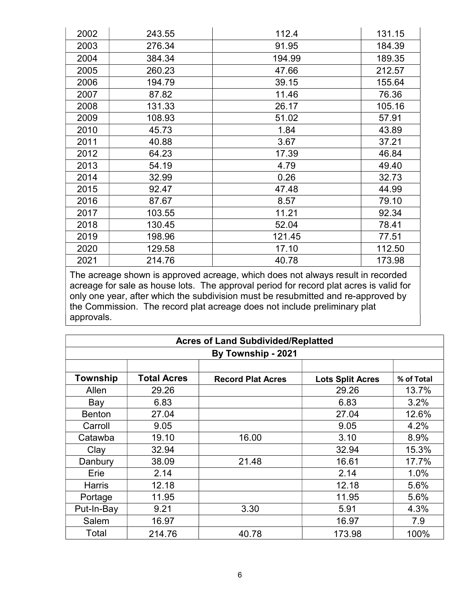| 2002 | 243.55 | 112.4  | 131.15 |
|------|--------|--------|--------|
| 2003 | 276.34 | 91.95  | 184.39 |
| 2004 | 384.34 | 194.99 | 189.35 |
| 2005 | 260.23 | 47.66  | 212.57 |
| 2006 | 194.79 | 39.15  | 155.64 |
| 2007 | 87.82  | 11.46  | 76.36  |
| 2008 | 131.33 | 26.17  | 105.16 |
| 2009 | 108.93 | 51.02  | 57.91  |
| 2010 | 45.73  | 1.84   | 43.89  |
| 2011 | 40.88  | 3.67   | 37.21  |
| 2012 | 64.23  | 17.39  | 46.84  |
| 2013 | 54.19  | 4.79   | 49.40  |
| 2014 | 32.99  | 0.26   | 32.73  |
| 2015 | 92.47  | 47.48  | 44.99  |
| 2016 | 87.67  | 8.57   | 79.10  |
| 2017 | 103.55 | 11.21  | 92.34  |
| 2018 | 130.45 | 52.04  | 78.41  |
| 2019 | 198.96 | 121.45 | 77.51  |
| 2020 | 129.58 | 17.10  | 112.50 |
| 2021 | 214.76 | 40.78  | 173.98 |

The acreage shown is approved acreage, which does not always result in recorded acreage for sale as house lots. The approval period for record plat acres is valid for only one year, after which the subdivision must be resubmitted and re-approved by the Commission. The record plat acreage does not include preliminary plat approvals.

| <b>Acres of Land Subdivided/Replatted</b> |                    |                          |                         |            |
|-------------------------------------------|--------------------|--------------------------|-------------------------|------------|
| By Township - 2021                        |                    |                          |                         |            |
|                                           |                    |                          |                         |            |
| Township                                  | <b>Total Acres</b> | <b>Record Plat Acres</b> | <b>Lots Split Acres</b> | % of Total |
| Allen                                     | 29.26              |                          | 29.26                   | 13.7%      |
| Bay                                       | 6.83               |                          | 6.83                    | 3.2%       |
| <b>Benton</b>                             | 27.04              |                          | 27.04                   | 12.6%      |
| Carroll                                   | 9.05               |                          | 9.05                    | 4.2%       |
| Catawba                                   | 19.10              | 16.00                    | 3.10                    | 8.9%       |
| Clay                                      | 32.94              |                          | 32.94                   | 15.3%      |
| Danbury                                   | 38.09              | 21.48                    | 16.61                   | 17.7%      |
| Erie                                      | 2.14               |                          | 2.14                    | 1.0%       |
| Harris                                    | 12.18              |                          | 12.18                   | 5.6%       |
| Portage                                   | 11.95              |                          | 11.95                   | 5.6%       |
| Put-In-Bay                                | 9.21               | 3.30                     | 5.91                    | 4.3%       |
| Salem                                     | 16.97              |                          | 16.97                   | 7.9        |
| Total                                     | 214.76             | 40.78                    | 173.98                  | 100%       |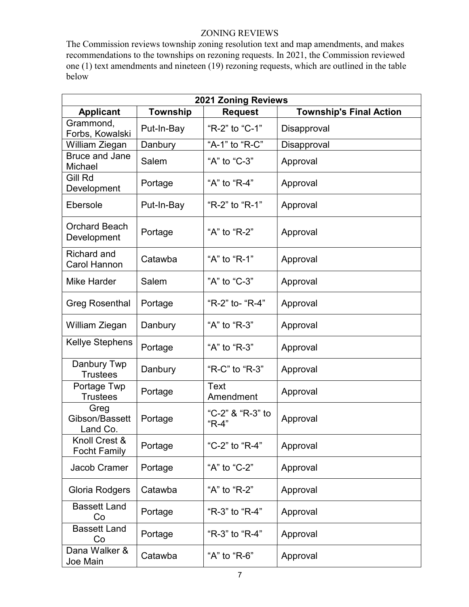# ZONING REVIEWS

The Commission reviews township zoning resolution text and map amendments, and makes recommendations to the townships on rezoning requests. In 2021, the Commission reviewed one (1) text amendments and nineteen (19) rezoning requests, which are outlined in the table below

| <b>2021 Zoning Reviews</b>                |                 |                             |                                |  |
|-------------------------------------------|-----------------|-----------------------------|--------------------------------|--|
| <b>Applicant</b>                          | <b>Township</b> | <b>Request</b>              | <b>Township's Final Action</b> |  |
| Grammond,<br>Forbs, Kowalski              | Put-In-Bay      | "R-2" to "C-1"              | Disapproval                    |  |
| William Ziegan                            | Danbury         | "A-1" to "R-C"              | Disapproval                    |  |
| <b>Bruce and Jane</b><br>Michael          | Salem           | "A" to "C-3"                | Approval                       |  |
| Gill Rd<br>Development                    | Portage         | "A" to "R-4"                | Approval                       |  |
| Ebersole                                  | Put-In-Bay      | "R-2" to "R-1"              | Approval                       |  |
| <b>Orchard Beach</b><br>Development       | Portage         | "A" to "R-2"                | Approval                       |  |
| <b>Richard and</b><br><b>Carol Hannon</b> | Catawba         | "A" to "R-1"                | Approval                       |  |
| <b>Mike Harder</b>                        | Salem           | "A" to "C-3"                | Approval                       |  |
| <b>Greg Rosenthal</b>                     | Portage         | "R-2" to- "R-4"             | Approval                       |  |
| William Ziegan                            | Danbury         | "A" to "R-3"                | Approval                       |  |
| <b>Kellye Stephens</b>                    | Portage         | "A" to "R-3"                | Approval                       |  |
| Danbury Twp<br><b>Trustees</b>            | Danbury         | "R-C" to "R-3"              | Approval                       |  |
| Portage Twp<br><b>Trustees</b>            | Portage         | Text<br>Amendment           | Approval                       |  |
| Greg<br>Gibson/Bassett<br>Land Co.        | Portage         | "C-2" & "R-3" to<br>$"R-4"$ | Approval                       |  |
| Knoll Crest &<br><b>Focht Family</b>      | Portage         | "C-2" to "R-4"              | Approval                       |  |
| Jacob Cramer                              | Portage         | "A" to "C-2"                | Approval                       |  |
| Gloria Rodgers                            | Catawba         | "A" to "R-2"                | Approval                       |  |
| <b>Bassett Land</b><br>Co                 | Portage         | "R-3" to "R-4"              | Approval                       |  |
| <b>Bassett Land</b><br>Co                 | Portage         | "R-3" to "R-4"              | Approval                       |  |
| Dana Walker &<br>Joe Main                 | Catawba         | "A" to "R-6"                | Approval                       |  |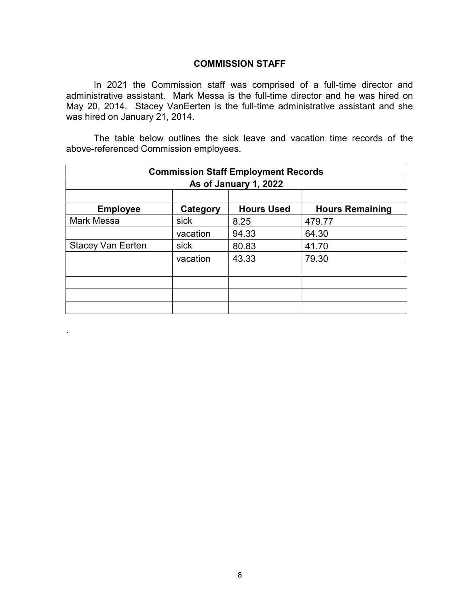## COMMISSION STAFF

In 2021 the Commission staff was comprised of a full-time director and administrative assistant. Mark Messa is the full-time director and he was hired on May 20, 2014. Stacey VanEerten is the full-time administrative assistant and she was hired on January 21, 2014.

The table below outlines the sick leave and vacation time records of the above-referenced Commission employees.

| <b>Commission Staff Employment Records</b> |          |                   |                        |  |
|--------------------------------------------|----------|-------------------|------------------------|--|
| As of January 1, 2022                      |          |                   |                        |  |
|                                            |          |                   |                        |  |
| <b>Employee</b>                            | Category | <b>Hours Used</b> | <b>Hours Remaining</b> |  |
| <b>Mark Messa</b>                          | sick     | 8.25              | 479.77                 |  |
|                                            | vacation | 94.33             | 64.30                  |  |
| <b>Stacey Van Eerten</b>                   | sick     | 80.83             | 41.70                  |  |
|                                            | vacation | 43.33             | 79.30                  |  |
|                                            |          |                   |                        |  |
|                                            |          |                   |                        |  |
|                                            |          |                   |                        |  |
|                                            |          |                   |                        |  |

.